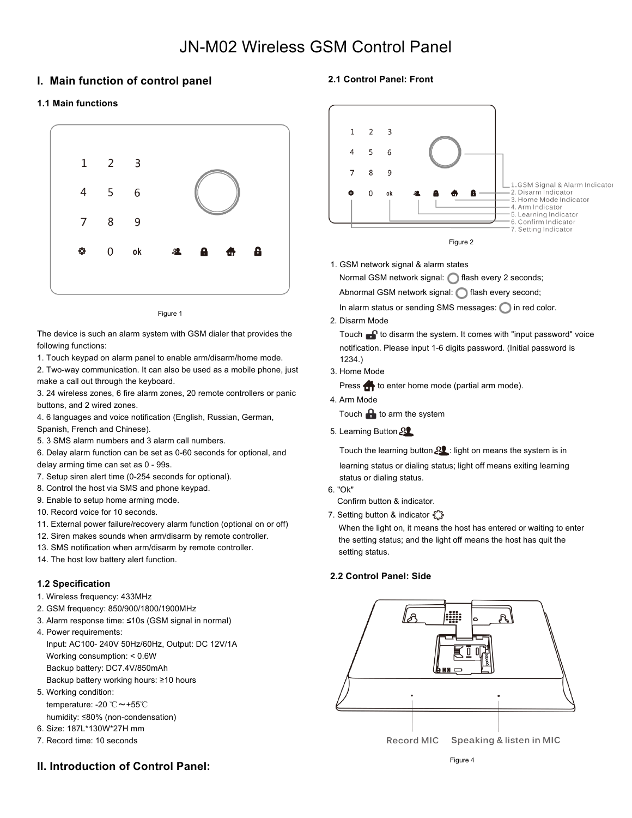# JN-M02 Wireless GSM Control Panel

# **I. Main function of control panel**

### **1.1 Main functions**



Figure 1

The device is such an alarm system with GSM dialer that provides the following functions:

1. Touch keypad on alarm panel to enable arm/disarm/home mode.

2. Two-way communication. It can also be used as a mobile phone, just make a call out through the keyboard.

3. 24 wireless zones, 6 fire alarm zones, 20 remote controllers or panic buttons, and 2 wired zones.

4. 6 languages and voice notification (English, Russian, German,

Spanish, French and Chinese).

5. 3 SMS alarm numbers and 3 alarm call numbers.

6. Delay alarm function can be set as 0-60 seconds for optional, and delay arming time can set as 0 - 99s.

7. Setup siren alert time (0-254 seconds for optional).

8. Control the host via SMS and phone keypad.

9. Enable to setup home arming mode.

10. Record voice for 10 seconds.

11. External power failure/recovery alarm function (optional on or off)

12. Siren makes sounds when arm/disarm by remote controller.

13. SMS notification when arm/disarm by remote controller.

14. The host low battery alert function.

### **1.2 Specification**

1. Wireless frequency: 433MHz

- 2. GSM frequency: 850/900/1800/1900MHz
- 3. Alarm response time: ≤10s (GSM signal in normal)
- 4. Power requirements: Input: AC100- 240V 50Hz/60Hz, Output: DC 12V/1A Working consumption: < 0.6W

Backup battery: DC7.4V/850mAh

Backup battery working hours: ≥10 hours

5. Working condition: temperature: -20 ℃~+55℃

humidity: ≤80% (non-condensation)

6. Size: 187L\*130W\*27H mm

7. Record time: 10 seconds

# **II. Introduction of Control Panel:**

### **2.1 Control Panel: Front**



1. GSM network signal & alarm states

Normal GSM network signal: cash every 2 seconds;

Abnormal GSM network signal: **n** flash every second;

In alarm status or sending SMS messages:  $\bigcirc$  in red color.

2. Disarm Mode

Touch  $\bigcap$  to disarm the system. It comes with "input password" voice notification. Please input 1-6 digits password. (Initial password is 1234.)

3. Home Mode

Press **th** to enter home mode (partial arm mode).

4. Arm Mode

Touch  $\mathbf{\Theta}$  to arm the system

5. Learning Button

Touch the learning button  $22$ : light on means the system is in learning status or dialing status; light off means exiting learning status or dialing status.

6. "Ok"

Confirm button & indicator.

7. Setting button & indicator £

When the light on, it means the host has entered or waiting to enter the setting status; and the light off means the host has quit the setting status.

### **2.2 Control Panel: Side**

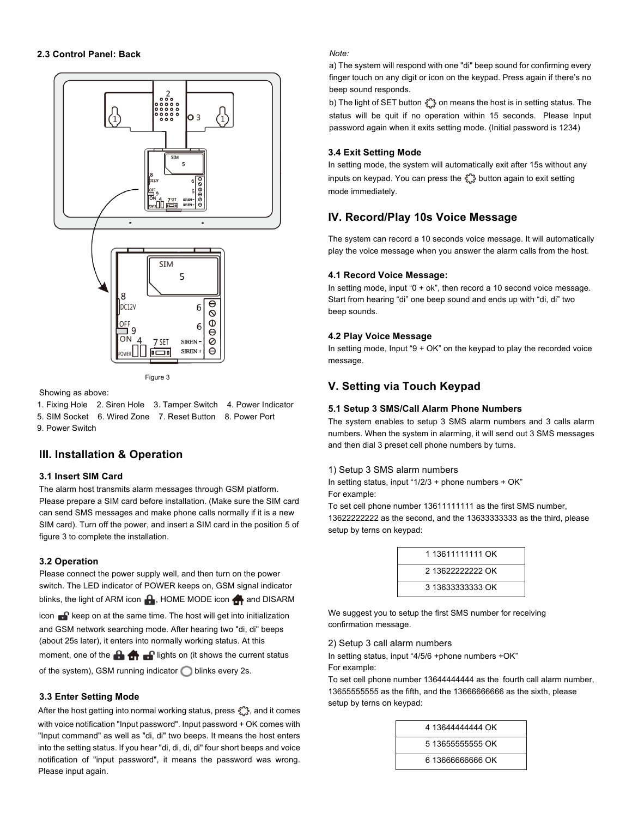

Figure 3

Showing as above:

1. Fixing Hole 2. Siren Hole 3. Tamper Switch 4. Power Indicator 5. SIM Socket 6. Wired Zone 7. Reset Button 8. Power Port 9. Power Switch

# **III. Installation & Operation**

### **3.1 Insert SIM Card**

The alarm host transmits alarm messages through GSM platform. Please prepare a SIM card before installation. (Make sure the SIM card can send SMS messages and make phone calls normally if it is a new SIM card). Turn off the power, and insert a SIM card in the position 5 of figure 3 to complete the installation.

### **3.2 Operation**

Please connect the power supply well, and then turn on the power switch. The LED indicator of POWER keeps on, GSM signal indicator blinks, the light of ARM icon  $\bigoplus$ , HOME MODE icon  $\bigoplus$  and DISARM icon  $\bigcap$  keep on at the same time. The host will get into initialization and GSM network searching mode. After hearing two "di, di" beeps (about 25s later), it enters into normally working status. At this moment, one of the  $\mathbf{a}$   $\mathbf{b}$   $\mathbf{c}$  lights on (it shows the current status of the system), GSM running indicator  $\bigcirc$  blinks every 2s.

### **3.3 Enter Setting Mode**

After the host getting into normal working status, press  $\hat{\xi}^{\prime\prime}$ , and it comes with voice notification "Input password". Input password + OK comes with "Input command" as well as "di, di" two beeps. It means the host enters into the setting status. If you hear "di, di, di, di" four short beeps and voice notification of "input password", it means the password was wrong. Please input again.

*Note:*

a) The system will respond with one "di" beep sound for confirming every finger touch on any digit or icon on the keypad. Press again if there's no beep sound responds.

b) The light of SET button  $\binom{m}{k}$  on means the host is in setting status. The status will be quit if no operation within 15 seconds. Please Input password again when it exits setting mode. (Initial password is 1234)

### **3.4 Exit Setting Mode**

In setting mode, the system will automatically exit after 15s without any inputs on keypad. You can press the  $\frac{1}{2}$  button again to exit setting mode immediately.

# **IV. Record/Play 10s Voice Message**

The system can record a 10 seconds voice message. It will automatically play the voice message when you answer the alarm calls from the host.

### **4.1 Record Voice Message:**

In setting mode, input "0 + ok", then record a 10 second voice message. Start from hearing "di" one beep sound and ends up with "di, di" two beep sounds.

### **4.2 Play Voice Message**

In setting mode, Input " $9 + OK$ " on the keypad to play the recorded voice message.

# **V. Setting via Touch Keypad**

### **5.1 Setup 3 SMS/Call Alarm Phone Numbers**

The system enables to setup 3 SMS alarm numbers and 3 calls alarm numbers. When the system in alarming, it will send out 3 SMS messages and then dial 3 preset cell phone numbers by turns.

### 1) Setup 3 SMS alarm numbers

In setting status, input "1/2/3 + phone numbers + OK" For example:

To set cell phone number 13611111111 as the first SMS number,

13622222222 as the second, and the 13633333333 as the third, please setup by terns on keypad:

| 1 13611111111 OK<br>2 13622222222 OK<br>3 13633333333 OK |  |
|----------------------------------------------------------|--|
|                                                          |  |
|                                                          |  |
|                                                          |  |

We suggest you to setup the first SMS number for receiving confirmation message.

### 2) Setup 3 call alarm numbers

In setting status, input "4/5/6 +phone numbers +OK" For example:

To set cell phone number 13644444444 as the fourth call alarm number, 13655555555 as the fifth, and the 13666666666 as the sixth, please setup by terns on keypad:

| 4 13644444444 OK  |
|-------------------|
| 5 136555555555 OK |
| 6 13666666666 OK  |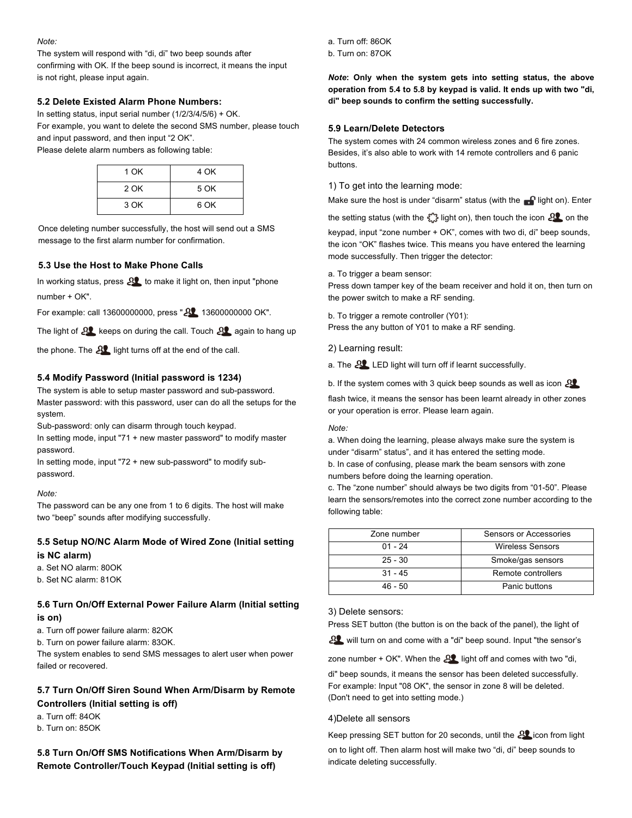#### *Note:*

The system will respond with "di, di" two beep sounds after confirming with OK. If the beep sound is incorrect, it means the input is not right, please input again.

### **5.2 Delete Existed Alarm Phone Numbers:**

In setting status, input serial number (1/2/3/4/5/6) + OK. For example, you want to delete the second SMS number, please touch and input password, and then input "2 OK". Please delete alarm numbers as following table:

| 1 OK | 4 OK |
|------|------|
| 2 OK | 5 OK |
| 3 OK | 6 OK |

Once deleting number successfully, the host will send out a SMS message to the first alarm number for confirmation.

### **5.3 Use the Host to Make Phone Calls**

In working status, press  $22$  to make it light on, then input "phone" number + OK".

For example: call 13600000000, press "21 13600000000 OK".

The light of  $82$  keeps on during the call. Touch  $82$  again to hang up

the phone. The  $22$  light turns off at the end of the call.

### **5.4 Modify Password (Initial password is 1234)**

The system is able to setup master password and sub-password. Master password: with this password, user can do all the setups for the system.

Sub-password: only can disarm through touch keypad.

In setting mode, input "71 + new master password" to modify master password.

In setting mode, input "72 + new sub-password" to modify subpassword.

#### *Note:*

The password can be any one from 1 to 6 digits. The host will make two "beep" sounds after modifying successfully.

### **5.5 Setup NO/NC Alarm Mode of Wired Zone (Initial setting is NC alarm)**

a. Set NO alarm: 80OK

b. Set NC alarm: 81OK

### **5.6 Turn On/Off External Power Failure Alarm (Initial setting is on)**

a. Turn off power failure alarm: 82OK

b. Turn on power failure alarm: 83OK.

The system enables to send SMS messages to alert user when power failed or recovered.

# **5.7 Turn On/Off Siren Sound When Arm/Disarm by Remote Controllers (Initial setting is off)**

a. Turn off: 84OK b. Turn on: 85OK

**5.8 Turn On/Off SMS Notifications When Arm/Disarm by Remote Controller/Touch Keypad (Initial setting is off)**

a. Turn off: 86OK

b. Turn on: 87OK

*Note***: Only when the system gets into setting status, the above operation from 5.4 to 5.8 by keypad is valid. It ends up with two "di, di" beep sounds to confirm the setting successfully.**

#### **5.9 Learn/Delete Detectors**

The system comes with 24 common wireless zones and 6 fire zones. Besides, it's also able to work with 14 remote controllers and 6 panic buttons.

1) To get into the learning mode:

Make sure the host is under "disarm" status (with the  $\blacksquare$  light on). Enter

the setting status (with the  $\frac{1}{2}$  light on), then touch the icon  $22$  on the

keypad, input "zone number + OK", comes with two di, di" beep sounds, the icon "OK" flashes twice. This means you have entered the learning mode successfully. Then trigger the detector:

a. To trigger a beam sensor:

Press down tamper key of the beam receiver and hold it on, then turn on the power switch to make a RF sending.

b. To trigger a remote controller (Y01): Press the any button of Y01 to make a RF sending.

2) Learning result:

a. The  $22$  LED light will turn off if learnt successfully.

b. If the system comes with 3 quick beep sounds as well as icon  $22$ 

flash twice, it means the sensor has been learnt already in other zones or your operation is error. Please learn again.

#### *Note:*

a. When doing the learning, please always make sure the system is under "disarm" status", and it has entered the setting mode. b. In case of confusing, please mark the beam sensors with zone

numbers before doing the learning operation.

c. The "zone number" should always be two digits from "01-50". Please learn the sensors/remotes into the correct zone number according to the following table:

| Zone number | Sensors or Accessories  |
|-------------|-------------------------|
| $01 - 24$   | <b>Wireless Sensors</b> |
| $25 - 30$   | Smoke/gas sensors       |
| $31 - 45$   | Remote controllers      |
| 46 - 50     | Panic buttons           |

### 3) Delete sensors:

Press SET button (the button is on the back of the panel), the light of

AL will turn on and come with a "di" beep sound. Input "the sensor's

zone number + OK". When the  $22$  light off and comes with two "di,

di" beep sounds, it means the sensor has been deleted successfully. For example: Input "08 OK", the sensor in zone 8 will be deleted. (Don't need to get into setting mode.)

#### 4)Delete all sensors

Keep pressing SET button for 20 seconds, until the 21 icon from light on to light off. Then alarm host will make two "di, di" beep sounds to indicate deleting successfully.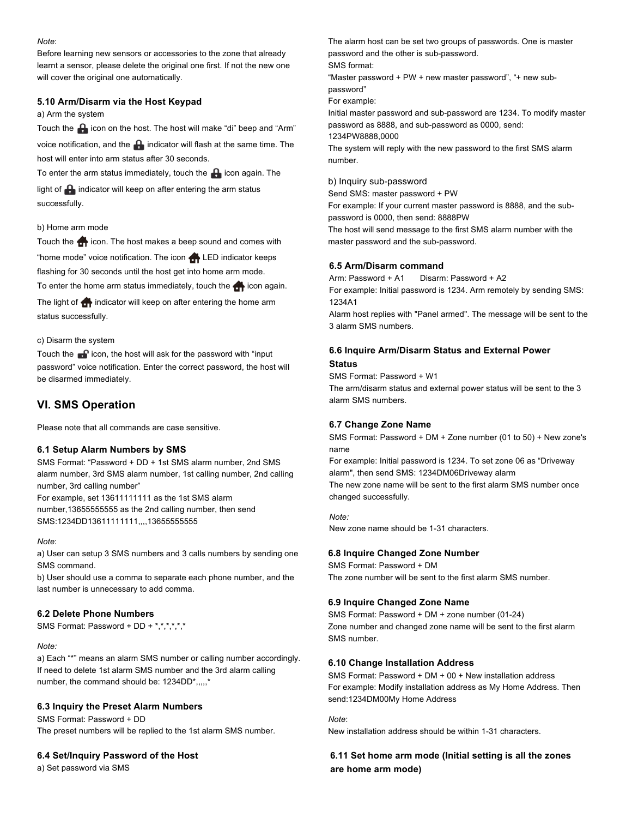#### *Note*:

Before learning new sensors or accessories to the zone that already learnt a sensor, please delete the original one first. If not the new one will cover the original one automatically.

### **5.10 Arm/Disarm via the Host Keypad**

a) Arm the system

Touch the  $\bigoplus$  icon on the host. The host will make "di" beep and "Arm" voice notification, and the  $\bigoplus$  indicator will flash at the same time. The host will enter into arm status after 30 seconds.

To enter the arm status immediately, touch the  $\blacksquare$  icon again. The

light of  $\bigoplus$  indicator will keep on after entering the arm status successfully.

### b) Home arm mode

Touch the **in** icon. The host makes a beep sound and comes with "home mode" voice notification. The icon LED indicator keeps flashing for 30 seconds until the host get into home arm mode. To enter the home arm status immediately, touch the  $\bigoplus$  icon again. The light of  $\bigoplus$  indicator will keep on after entering the home arm status successfully.

#### c) Disarm the system

Touch the  $\blacksquare$  icon, the host will ask for the password with "input password" voice notification. Enter the correct password, the host will be disarmed immediately.

### **VI. SMS Operation**

Please note that all commands are case sensitive.

#### **6.1 Setup Alarm Numbers by SMS**

SMS Format: "Password + DD + 1st SMS alarm number, 2nd SMS alarm number, 3rd SMS alarm number, 1st calling number, 2nd calling number, 3rd calling number"

For example, set 13611111111 as the 1st SMS alarm number,13655555555 as the 2nd calling number, then send SMS:1234DD13611111111,,,,13655555555

#### *Note*:

a) User can setup 3 SMS numbers and 3 calls numbers by sending one SMS command.

b) User should use a comma to separate each phone number, and the last number is unnecessary to add comma.

### **6.2 Delete Phone Numbers**

SMS Format: Password + DD + \*,\*,\*,\*,\*,\*,\*

#### *Note:*

a) Each "\*" means an alarm SMS number or calling number accordingly. If need to delete 1st alarm SMS number and the 3rd alarm calling number, the command should be: 1234DD\*,,,,,\*

### **6.3 Inquiry the Preset Alarm Numbers**

SMS Format: Password + DD The preset numbers will be replied to the 1st alarm SMS number.

#### **6.4 Set/Inquiry Password of the Host**

a) Set password via SMS

The alarm host can be set two groups of passwords. One is master password and the other is sub-password. SMS format: "Master password + PW + new master password", "+ new subpassword" For example: Initial master password and sub-password are 1234. To modify master password as 8888, and sub-password as 0000, send: 1234PW8888,0000 The system will reply with the new password to the first SMS alarm number.

#### b) Inquiry sub-password

Send SMS: master password + PW

For example: If your current master password is 8888, and the subpassword is 0000, then send: 8888PW

The host will send message to the first SMS alarm number with the master password and the sub-password.

#### **6.5 Arm/Disarm command**

Arm: Password + A1 Disarm: Password + A2 For example: Initial password is 1234. Arm remotely by sending SMS: 1234A1

Alarm host replies with "Panel armed". The message will be sent to the 3 alarm SMS numbers.

### **6.6 Inquire Arm/Disarm Status and External Power Status**

SMS Format: Password + W1

The arm/disarm status and external power status will be sent to the 3 alarm SMS numbers.

### **6.7 Change Zone Name**

SMS Format: Password + DM + Zone number (01 to 50) + New zone's name

For example: Initial password is 1234. To set zone 06 as "Driveway alarm", then send SMS: 1234DM06Driveway alarm

The new zone name will be sent to the first alarm SMS number once changed successfully.

*Note:*  New zone name should be 1-31 characters.

#### **6.8 Inquire Changed Zone Number**

SMS Format: Password + DM The zone number will be sent to the first alarm SMS number.

#### **6.9 Inquire Changed Zone Name**

SMS Format: Password + DM + zone number (01-24) Zone number and changed zone name will be sent to the first alarm SMS number.

#### **6.10 Change Installation Address**

SMS Format: Password + DM + 00 + New installation address For example: Modify installation address as My Home Address. Then send:1234DM00My Home Address

*Note*:

New installation address should be within 1-31 characters.

### **6.11 Set home arm mode (Initial setting is all the zones are home arm mode)**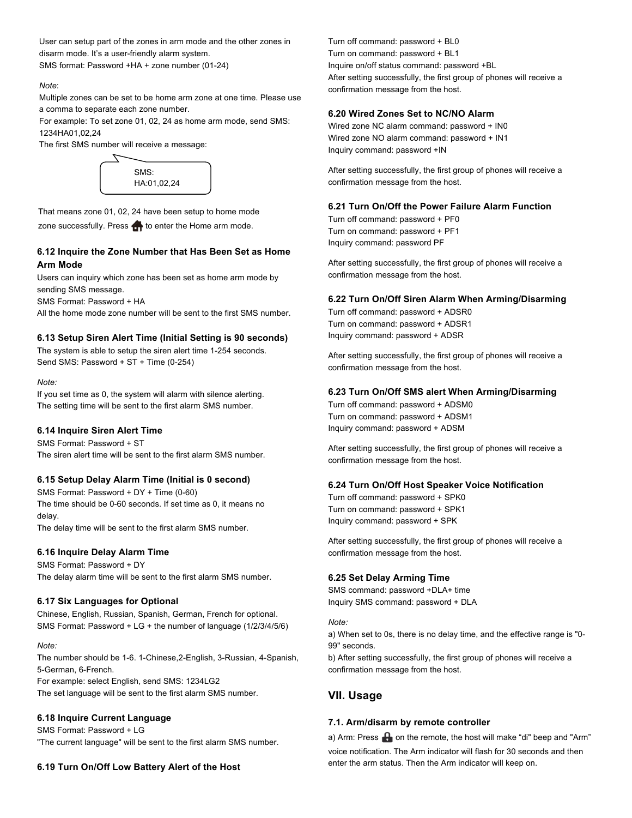User can setup part of the zones in arm mode and the other zones in disarm mode. It's a user-friendly alarm system. SMS format: Password +HA + zone number (01-24)

### *Note*:

Multiple zones can be set to be home arm zone at one time. Please use a comma to separate each zone number.

For example: To set zone 01, 02, 24 as home arm mode, send SMS: 1234HA01,02,24

The first SMS number will receive a message:



That means zone 01, 02, 24 have been setup to home mode zone successfully. Press  $\bigoplus$  to enter the Home arm mode.

## **6.12 Inquire the Zone Number that Has Been Set as Home Arm Mode**

Users can inquiry which zone has been set as home arm mode by sending SMS message.

SMS Format: Password + HA

All the home mode zone number will be sent to the first SMS number.

### **6.13 Setup Siren Alert Time (Initial Setting is 90 seconds)**

The system is able to setup the siren alert time 1-254 seconds. Send SMS: Password + ST + Time (0-254)

#### *Note:*

If you set time as 0, the system will alarm with silence alerting. The setting time will be sent to the first alarm SMS number.

#### **6.14 Inquire Siren Alert Time**

SMS Format: Password + ST The siren alert time will be sent to the first alarm SMS number.

### **6.15 Setup Delay Alarm Time (Initial is 0 second)**

SMS Format: Password + DY + Time (0-60) The time should be 0-60 seconds. If set time as 0, it means no delay. The delay time will be sent to the first alarm SMS number.

### **6.16 Inquire Delay Alarm Time**

SMS Format: Password + DY The delay alarm time will be sent to the first alarm SMS number.

### **6.17 Six Languages for Optional**

Chinese, English, Russian, Spanish, German, French for optional. SMS Format: Password + LG + the number of language (1/2/3/4/5/6)

#### *Note:*

The number should be 1-6. 1-Chinese,2-English, 3-Russian, 4-Spanish, 5-German, 6-French.

For example: select English, send SMS: 1234LG2 The set language will be sent to the first alarm SMS number.

# **6.18 Inquire Current Language**

SMS Format: Password + LG "The current language" will be sent to the first alarm SMS number.

#### **6.19 Turn On/Off Low Battery Alert of the Host**

Turn off command: password + BL0 Turn on command: password + BL1 Inquire on/off status command: password +BL After setting successfully, the first group of phones will receive a confirmation message from the host.

### **6.20 Wired Zones Set to NC/NO Alarm**

Wired zone NC alarm command: password + IN0 Wired zone NO alarm command: password + IN1 Inquiry command: password +IN

After setting successfully, the first group of phones will receive a confirmation message from the host.

### **6.21 Turn On/Off the Power Failure Alarm Function**

Turn off command: password + PF0 Turn on command: password + PF1 Inquiry command: password PF

After setting successfully, the first group of phones will receive a confirmation message from the host.

### **6.22 Turn On/Off Siren Alarm When Arming/Disarming**

Turn off command: password + ADSR0 Turn on command: password + ADSR1 Inquiry command: password + ADSR

After setting successfully, the first group of phones will receive a confirmation message from the host.

### **6.23 Turn On/Off SMS alert When Arming/Disarming**

Turn off command: password + ADSM0 Turn on command: password + ADSM1 Inquiry command: password + ADSM

After setting successfully, the first group of phones will receive a confirmation message from the host.

#### **6.24 Turn On/Off Host Speaker Voice Notification**

Turn off command: password + SPK0 Turn on command: password + SPK1 Inquiry command: password + SPK

After setting successfully, the first group of phones will receive a confirmation message from the host.

### **6.25 Set Delay Arming Time**

SMS command: password +DLA+ time Inquiry SMS command: password + DLA

#### *Note:*

a) When set to 0s, there is no delay time, and the effective range is "0- 99" seconds.

b) After setting successfully, the first group of phones will receive a confirmation message from the host.

### **VII. Usage**

### **7.1. Arm/disarm by remote controller**

a) Arm: Press  $\bigoplus$  on the remote, the host will make "di" beep and "Arm" voice notification. The Arm indicator will flash for 30 seconds and then enter the arm status. Then the Arm indicator will keep on.